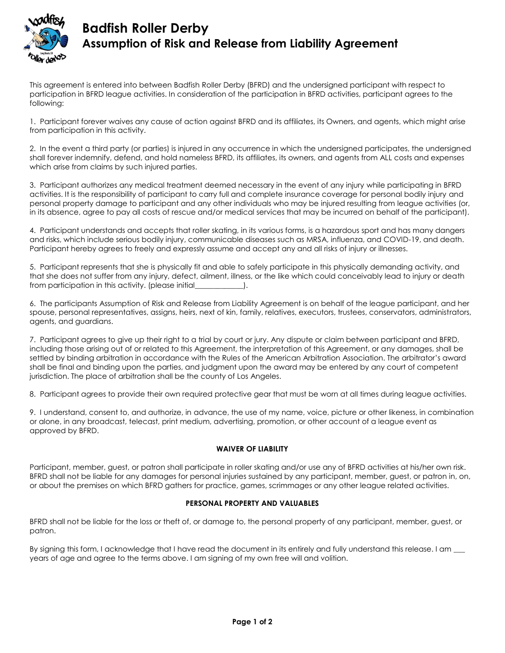

# **Badfish Roller Derby Assumption of Risk and Release from Liability Agreement**

This agreement is entered into between Badfish Roller Derby (BFRD) and the undersigned participant with respect to participation in BFRD league activities. In consideration of the participation in BFRD activities, participant agrees to the following:

1. Participant forever waives any cause of action against BFRD and its affiliates, its Owners, and agents, which might arise from participation in this activity.

2. In the event a third party (or parties) is injured in any occurrence in which the undersigned participates, the undersigned shall forever indemnify, defend, and hold nameless BFRD, its affiliates, its owners, and agents from ALL costs and expenses which arise from claims by such injured parties.

3. Participant authorizes any medical treatment deemed necessary in the event of any injury while participating in BFRD activities. It is the responsibility of participant to carry full and complete insurance coverage for personal bodily injury and personal property damage to participant and any other individuals who may be injured resulting from league activities (or, in its absence, agree to pay all costs of rescue and/or medical services that may be incurred on behalf of the participant).

4. Participant understands and accepts that roller skating, in its various forms, is a hazardous sport and has many dangers and risks, which include serious bodily injury, communicable diseases such as MRSA, influenza, and COVID-19, and death. Participant hereby agrees to freely and expressly assume and accept any and all risks of injury or illnesses.

5. Participant represents that she is physically fit and able to safely participate in this physically demanding activity, and that she does not suffer from any injury, defect, ailment, illness, or the like which could conceivably lead to injury or death from participation in this activity. (please initial\_\_\_\_\_\_\_\_\_\_\_\_\_).

6. The participants Assumption of Risk and Release from Liability Agreement is on behalf of the league participant, and her spouse, personal representatives, assigns, heirs, next of kin, family, relatives, executors, trustees, conservators, administrators, agents, and guardians.

7. Participant agrees to give up their right to a trial by court or jury. Any dispute or claim between participant and BFRD, including those arising out of or related to this Agreement, the interpretation of this Agreement, or any damages, shall be settled by binding arbitration in accordance with the Rules of the American Arbitration Association. The arbitrator's award shall be final and binding upon the parties, and judgment upon the award may be entered by any court of competent jurisdiction. The place of arbitration shall be the county of Los Angeles.

8. Participant agrees to provide their own required protective gear that must be worn at all times during league activities.

9. I understand, consent to, and authorize, in advance, the use of my name, voice, picture or other likeness, in combination or alone, in any broadcast, telecast, print medium, advertising, promotion, or other account of a league event as approved by BFRD.

### **WAIVER OF LIABILITY**

Participant, member, guest, or patron shall participate in roller skating and/or use any of BFRD activities at his/her own risk. BFRD shall not be liable for any damages for personal injuries sustained by any participant, member, guest, or patron in, on, or about the premises on which BFRD gathers for practice, games, scrimmages or any other league related activities.

### **PERSONAL PROPERTY AND VALUABLES**

BFRD shall not be liable for the loss or theft of, or damage to, the personal property of any participant, member, guest, or patron.

By signing this form, I acknowledge that I have read the document in its entirely and fully understand this release. I am \_\_ years of age and agree to the terms above. I am signing of my own free will and volition.